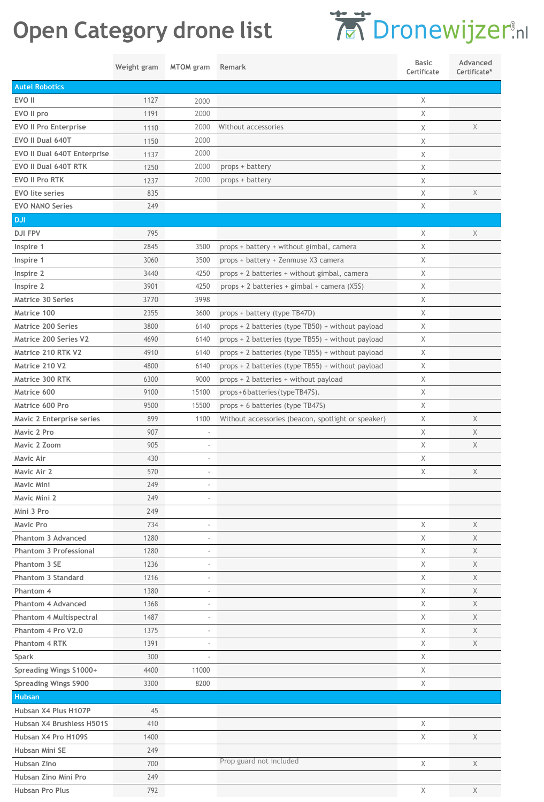## **Open Category drone list**

## ® [.nl](https://dronewijzer.nl/)

|                                          | Weight gram | <b>MTOM</b> gram | Remark                                             | <b>Basic</b><br>Certificate | Advanced<br>Certificate* |
|------------------------------------------|-------------|------------------|----------------------------------------------------|-----------------------------|--------------------------|
| <b>Autel Robotics</b>                    |             |                  |                                                    |                             |                          |
| EVO II                                   | 1127        | 2000             |                                                    | Χ                           |                          |
| EVO II pro                               | 1191        | 2000             |                                                    | Χ                           |                          |
| <b>EVO II Pro Enterprise</b>             | 1110        | 2000             | Without accessories                                | Χ                           | X                        |
| EVO II Dual 640T                         | 1150        | 2000             |                                                    | Χ                           |                          |
| EVO II Dual 640T Enterprise              | 1137        | 2000             |                                                    | Χ                           |                          |
| EVO II Dual 640T RTK                     | 1250        | 2000             | props + battery                                    | Χ                           |                          |
| <b>EVO II Pro RTK</b>                    | 1237        | 2000             | props + battery                                    | Χ                           |                          |
| <b>EVO</b> lite series                   | 835         |                  |                                                    | Χ                           | X                        |
| <b>EVO NANO Series</b>                   | 249         |                  |                                                    | Χ                           |                          |
| <b>DJI</b>                               |             |                  |                                                    |                             |                          |
| <b>DJI FPV</b>                           | 795         |                  |                                                    | Χ                           | Χ                        |
| Inspire 1                                | 2845        | 3500             | props + battery + without gimbal, camera           | Χ                           |                          |
| Inspire 1                                | 3060        | 3500             | props + battery + Zenmuse X3 camera                | Χ                           |                          |
| Inspire 2                                | 3440        | 4250             | props + 2 batteries + without gimbal, camera       | Χ                           |                          |
| Inspire 2                                | 3901        | 4250             | props + 2 batteries + gimbal + camera (X5S)        | Χ                           |                          |
| <b>Matrice 30 Series</b>                 | 3770        | 3998             |                                                    | Χ                           |                          |
| Matrice 100                              | 2355        | 3600             | props + battery (type TB47D)                       | Χ                           |                          |
| Matrice 200 Series                       | 3800        | 6140             | props + 2 batteries (type TB50) + without payload  | Χ                           |                          |
| <b>Matrice 200 Series V2</b>             | 4690        | 6140             | props + 2 batteries (type TB55) + without payload  | Χ                           |                          |
| Matrice 210 RTK V2                       | 4910        | 6140             | props + 2 batteries (type TB55) + without payload  | Χ                           |                          |
| Matrice 210 V2                           | 4800        | 6140             | props + 2 batteries (type TB55) + without payload  | Χ                           |                          |
| Matrice 300 RTK                          | 6300        | 9000             | props + 2 batteries + without payload              | Χ                           |                          |
| Matrice 600                              | 9100        | 15100            | props+6batteries(typeTB47S).                       | Χ                           |                          |
| Matrice 600 Pro                          | 9500        | 15500            | props + 6 batteries (type TB47S)                   | Χ                           |                          |
|                                          | 899         | 1100             |                                                    | Χ                           | Χ                        |
| Mavic 2 Enterprise series<br>Mavic 2 Pro | 907         |                  | Without accessories (beacon, spotlight or speaker) | Χ                           | X                        |
|                                          |             |                  |                                                    | Χ                           | X                        |
| Mavic 2 Zoom                             | 905         |                  |                                                    |                             |                          |
| Mavic Air                                | 430         |                  |                                                    | Χ                           | X                        |
| Mavic Air 2<br><b>Mavic Mini</b>         | 570         |                  |                                                    | Χ                           |                          |
|                                          | 249         |                  |                                                    |                             |                          |
| Mavic Mini 2                             | 249         |                  |                                                    |                             |                          |
| Mini 3 Pro                               | 249         |                  |                                                    |                             |                          |
| Mavic Pro                                | 734         |                  |                                                    | Χ                           | Χ                        |
| Phantom 3 Advanced                       | 1280        |                  |                                                    | Χ                           | X                        |
| <b>Phantom 3 Professional</b>            | 1280        |                  |                                                    | Χ                           | Χ                        |
| Phantom 3 SE                             | 1236        |                  |                                                    | Χ                           | X                        |
| Phantom 3 Standard                       | 1216        |                  |                                                    | Χ                           | X                        |
| Phantom 4<br><b>Phantom 4 Advanced</b>   | 1380        |                  |                                                    | Χ                           | Χ                        |
|                                          | 1368        |                  |                                                    | Χ                           | X                        |
| <b>Phantom 4 Multispectral</b>           | 1487        |                  |                                                    | Χ                           | Χ                        |
| Phantom 4 Pro V2.0<br>Phantom 4 RTK      | 1375        |                  |                                                    | Χ                           | X                        |
|                                          | 1391        |                  |                                                    | Χ                           | Χ                        |
| <b>Spark</b>                             | 300         |                  |                                                    | Χ                           |                          |
| Spreading Wings S1000+                   | 4400        | 11000<br>8200    |                                                    | X                           |                          |
| <b>Spreading Wings S900</b>              | 3300        |                  |                                                    | Χ                           |                          |
| <b>Hubsan</b>                            |             |                  |                                                    |                             |                          |
| Hubsan X4 Plus H107P                     | 45          |                  |                                                    |                             |                          |
| Hubsan X4 Brushless H501S                | 410         |                  |                                                    | Χ                           |                          |
| Hubsan X4 Pro H109S                      | 1400        |                  |                                                    | Χ                           | X                        |
| Hubsan Mini SE                           | 249         |                  | Prop guard not included                            |                             |                          |
| Hubsan Zino                              | 700         |                  |                                                    | Χ                           | X                        |
| Hubsan Zino Mini Pro                     | 249         |                  |                                                    |                             |                          |
| Hubsan Pro Plus                          | 792         |                  |                                                    | X                           | X                        |